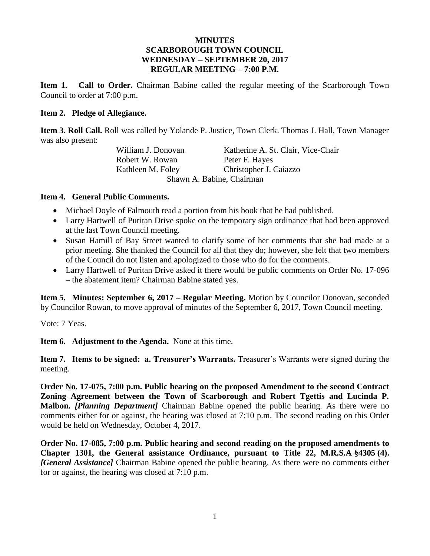### **MINUTES SCARBOROUGH TOWN COUNCIL WEDNESDAY – SEPTEMBER 20, 2017 REGULAR MEETING – 7:00 P.M.**

**Item 1. Call to Order.** Chairman Babine called the regular meeting of the Scarborough Town Council to order at 7:00 p.m.

#### **Item 2. Pledge of Allegiance.**

**Item 3. Roll Call.** Roll was called by Yolande P. Justice, Town Clerk. Thomas J. Hall, Town Manager was also present:

Robert W. Rowan Peter F. Hayes

William J. Donovan Katherine A. St. Clair, Vice-Chair Kathleen M. Foley Christopher J. Caiazzo Shawn A. Babine, Chairman

#### **Item 4. General Public Comments.**

- Michael Doyle of Falmouth read a portion from his book that he had published.
- Larry Hartwell of Puritan Drive spoke on the temporary sign ordinance that had been approved at the last Town Council meeting.
- Susan Hamill of Bay Street wanted to clarify some of her comments that she had made at a prior meeting. She thanked the Council for all that they do; however, she felt that two members of the Council do not listen and apologized to those who do for the comments.
- Larry Hartwell of Puritan Drive asked it there would be public comments on Order No. 17-096 – the abatement item? Chairman Babine stated yes.

**Item 5. Minutes: September 6, 2017 – Regular Meeting.** Motion by Councilor Donovan, seconded by Councilor Rowan, to move approval of minutes of the September 6, 2017, Town Council meeting.

Vote: 7 Yeas.

**Item 6. Adjustment to the Agenda.** None at this time.

**Item 7. Items to be signed: a. Treasurer's Warrants.** Treasurer's Warrants were signed during the meeting.

**Order No. 17-075, 7:00 p.m. Public hearing on the proposed Amendment to the second Contract Zoning Agreement between the Town of Scarborough and Robert Tgettis and Lucinda P. Malbon.** *[Planning Department]* Chairman Babine opened the public hearing. As there were no comments either for or against, the hearing was closed at 7:10 p.m. The second reading on this Order would be held on Wednesday, October 4, 2017.

**Order No. 17-085, 7:00 p.m. Public hearing and second reading on the proposed amendments to Chapter 1301, the General assistance Ordinance, pursuant to Title 22, M.R.S.A §4305 (4).**  *[General Assistance]* Chairman Babine opened the public hearing. As there were no comments either for or against, the hearing was closed at 7:10 p.m.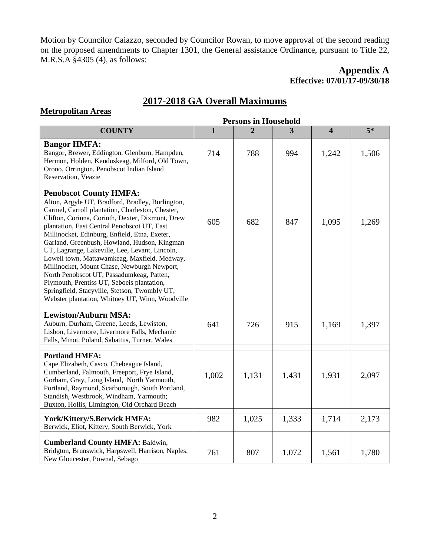Motion by Councilor Caiazzo, seconded by Councilor Rowan, to move approval of the second reading on the proposed amendments to Chapter 1301, the General assistance Ordinance, pursuant to Title 22, M.R.S.A §4305 (4), as follows:

## **Appendix A Effective: 07/01/17-09/30/18**

## **2017-2018 GA Overall Maximums**

### **Metropolitan Areas**

|                                                                                                                                                                                                                                                                                                                                                                                                                                                                                                                                                                                                                                                                                           |              | <b>Persons in Household</b> |       |                         |       |
|-------------------------------------------------------------------------------------------------------------------------------------------------------------------------------------------------------------------------------------------------------------------------------------------------------------------------------------------------------------------------------------------------------------------------------------------------------------------------------------------------------------------------------------------------------------------------------------------------------------------------------------------------------------------------------------------|--------------|-----------------------------|-------|-------------------------|-------|
| <b>COUNTY</b>                                                                                                                                                                                                                                                                                                                                                                                                                                                                                                                                                                                                                                                                             | $\mathbf{1}$ | $\overline{2}$              | 3     | $\overline{\mathbf{4}}$ | $5*$  |
| <b>Bangor HMFA:</b><br>Bangor, Brewer, Eddington, Glenburn, Hampden,<br>Hermon, Holden, Kenduskeag, Milford, Old Town,<br>Orono, Orrington, Penobscot Indian Island<br>Reservation, Veazie                                                                                                                                                                                                                                                                                                                                                                                                                                                                                                | 714          | 788                         | 994   | 1,242                   | 1,506 |
| <b>Penobscot County HMFA:</b><br>Alton, Argyle UT, Bradford, Bradley, Burlington,<br>Carmel, Carroll plantation, Charleston, Chester,<br>Clifton, Corinna, Corinth, Dexter, Dixmont, Drew<br>plantation, East Central Penobscot UT, East<br>Millinocket, Edinburg, Enfield, Etna, Exeter,<br>Garland, Greenbush, Howland, Hudson, Kingman<br>UT, Lagrange, Lakeville, Lee, Levant, Lincoln,<br>Lowell town, Mattawamkeag, Maxfield, Medway,<br>Millinocket, Mount Chase, Newburgh Newport,<br>North Penobscot UT, Passadumkeag, Patten,<br>Plymouth, Prentiss UT, Seboeis plantation,<br>Springfield, Stacyville, Stetson, Twombly UT,<br>Webster plantation, Whitney UT, Winn, Woodville | 605          | 682                         | 847   | 1,095                   | 1,269 |
| <b>Lewiston/Auburn MSA:</b><br>Auburn, Durham, Greene, Leeds, Lewiston,<br>Lisbon, Livermore, Livermore Falls, Mechanic<br>Falls, Minot, Poland, Sabattus, Turner, Wales                                                                                                                                                                                                                                                                                                                                                                                                                                                                                                                  | 641          | 726                         | 915   | 1,169                   | 1,397 |
| <b>Portland HMFA:</b><br>Cape Elizabeth, Casco, Chebeague Island,<br>Cumberland, Falmouth, Freeport, Frye Island,<br>Gorham, Gray, Long Island, North Yarmouth,<br>Portland, Raymond, Scarborough, South Portland,<br>Standish, Westbrook, Windham, Yarmouth;<br>Buxton, Hollis, Limington, Old Orchard Beach                                                                                                                                                                                                                                                                                                                                                                             | 1,002        | 1,131                       | 1,431 | 1,931                   | 2,097 |
| York/Kittery/S.Berwick HMFA:<br>Berwick, Eliot, Kittery, South Berwick, York                                                                                                                                                                                                                                                                                                                                                                                                                                                                                                                                                                                                              | 982          | 1,025                       | 1,333 | 1,714                   | 2,173 |
| <b>Cumberland County HMFA: Baldwin,</b><br>Bridgton, Brunswick, Harpswell, Harrison, Naples,<br>New Gloucester, Pownal, Sebago                                                                                                                                                                                                                                                                                                                                                                                                                                                                                                                                                            | 761          | 807                         | 1,072 | 1,561                   | 1,780 |

2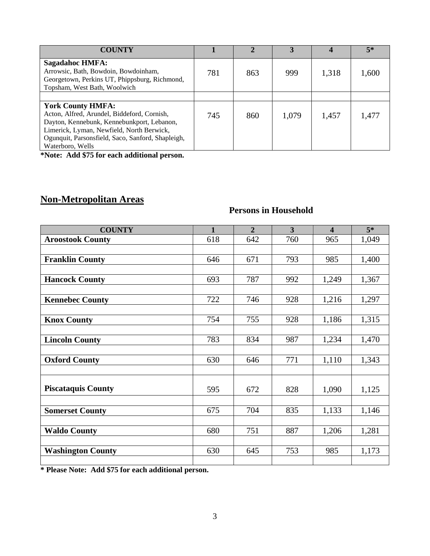| <b>COUNTY</b>                                                                                                                                                                                                                               |     |     |       |       | $5*$  |
|---------------------------------------------------------------------------------------------------------------------------------------------------------------------------------------------------------------------------------------------|-----|-----|-------|-------|-------|
| <b>Sagadahoc HMFA:</b><br>Arrowsic, Bath, Bowdoin, Bowdoinham,<br>Georgetown, Perkins UT, Phippsburg, Richmond,<br>Topsham, West Bath, Woolwich                                                                                             | 781 | 863 | 999   | 1,318 | 1,600 |
|                                                                                                                                                                                                                                             |     |     |       |       |       |
| <b>York County HMFA:</b><br>Acton, Alfred, Arundel, Biddeford, Cornish,<br>Dayton, Kennebunk, Kennebunkport, Lebanon,<br>Limerick, Lyman, Newfield, North Berwick,<br>Ogunquit, Parsonsfield, Saco, Sanford, Shapleigh,<br>Waterboro, Wells | 745 | 860 | 1,079 | 1,457 | 1,477 |

**\*Note: Add \$75 for each additional person.**

# **Non-Metropolitan Areas**

# **Persons in Household**

| <b>COUNTY</b>             | $\mathbf{1}$ | $\overline{2}$ | $\overline{3}$ | $\overline{\mathbf{4}}$ | $\overline{5^*}$ |
|---------------------------|--------------|----------------|----------------|-------------------------|------------------|
| <b>Aroostook County</b>   | 618          | 642            | 760            | 965                     | 1,049            |
|                           |              |                |                |                         |                  |
| <b>Franklin County</b>    | 646          | 671            | 793            | 985                     | 1,400            |
|                           |              |                |                |                         |                  |
| <b>Hancock County</b>     | 693          | 787            | 992            | 1,249                   | 1,367            |
|                           |              |                |                |                         |                  |
| <b>Kennebec County</b>    | 722          | 746            | 928            | 1,216                   | 1,297            |
|                           |              |                |                |                         |                  |
| <b>Knox County</b>        | 754          | 755            | 928            | 1,186                   | 1,315            |
|                           |              |                |                |                         |                  |
| <b>Lincoln County</b>     | 783          | 834            | 987            | 1,234                   | 1,470            |
|                           |              |                |                |                         |                  |
| <b>Oxford County</b>      | 630          | 646            | 771            | 1,110                   | 1,343            |
|                           |              |                |                |                         |                  |
|                           |              |                |                |                         |                  |
| <b>Piscataquis County</b> | 595          | 672            | 828            | 1,090                   | 1,125            |
|                           |              |                |                |                         |                  |
| <b>Somerset County</b>    | 675          | 704            | 835            | 1,133                   | 1,146            |
|                           |              |                |                |                         |                  |
| <b>Waldo County</b>       | 680          | 751            | 887            | 1,206                   | 1,281            |
|                           |              |                |                |                         |                  |
| <b>Washington County</b>  | 630          | 645            | 753            | 985                     | 1,173            |
|                           |              |                |                |                         |                  |

**\* Please Note: Add \$75 for each additional person.**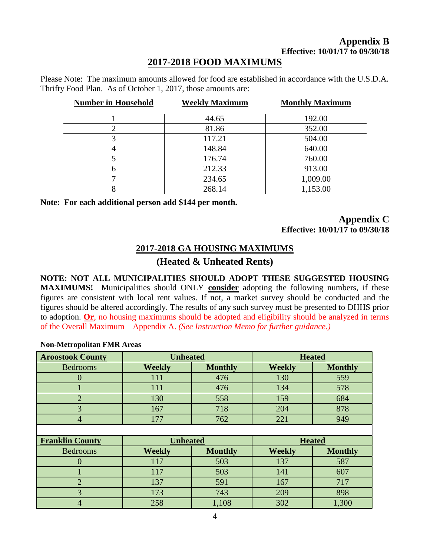### **Appendix B Effective: 10/01/17 to 09/30/18**

## **2017-2018 FOOD MAXIMUMS**

Please Note: The maximum amounts allowed for food are established in accordance with the U.S.D.A. Thrifty Food Plan. As of October 1, 2017, those amounts are:

| <b>Number in Household</b> | <b>Weekly Maximum</b> | <b>Monthly Maximum</b> |
|----------------------------|-----------------------|------------------------|
|                            | 44.65                 | 192.00                 |
|                            | 81.86                 | 352.00                 |
| 3                          | 117.21                | 504.00                 |
|                            | 148.84                | 640.00                 |
|                            | 176.74                | 760.00                 |
| 6                          | 212.33                | 913.00                 |
|                            | 234.65                | 1,009.00               |
|                            | 268.14                | 1,153.00               |

**Note: For each additional person add \$144 per month.**

### **Appendix C Effective: 10/01/17 to 09/30/18**

### **2017-2018 GA HOUSING MAXIMUMS**

### **(Heated & Unheated Rents)**

**NOTE: NOT ALL MUNICIPALITIES SHOULD ADOPT THESE SUGGESTED HOUSING MAXIMUMS!** Municipalities should ONLY **consider** adopting the following numbers, if these figures are consistent with local rent values. If not, a market survey should be conducted and the figures should be altered accordingly. The results of any such survey must be presented to DHHS prior to adoption. **Or**, no housing maximums should be adopted and eligibility should be analyzed in terms of the Overall Maximum—Appendix A. *(See Instruction Memo for further guidance.)*

#### **Non-Metropolitan FMR Areas**

| <b>Aroostook County</b> | <b>Unheated</b><br><b>Heated</b> |                |               |                |
|-------------------------|----------------------------------|----------------|---------------|----------------|
| <b>Bedrooms</b>         | <b>Weekly</b>                    | <b>Monthly</b> | <b>Weekly</b> | <b>Monthly</b> |
| $\theta$                | 111                              | 476            | 130           | 559            |
|                         | 111                              | 476            | 134           | 578            |
| $\overline{2}$          | 130                              | 558            | 159           | 684            |
| 3                       | 167                              | 718            | 204           | 878            |
| $\overline{4}$          | 177                              | 762            | 221           | 949            |
|                         |                                  |                |               |                |
|                         |                                  |                |               |                |
| <b>Franklin County</b>  | <b>Unheated</b>                  |                |               | <b>Heated</b>  |
| <b>Bedrooms</b>         | <b>Weekly</b>                    | <b>Monthly</b> | <b>Weekly</b> | <b>Monthly</b> |
| $\theta$                | 117                              | 503            | 137           | 587            |
|                         | 117                              | 503            | 141           | 607            |
| $\overline{2}$          | 137                              | 591            | 167           | 717            |
| 3                       | 173                              | 743            | 209           | 898            |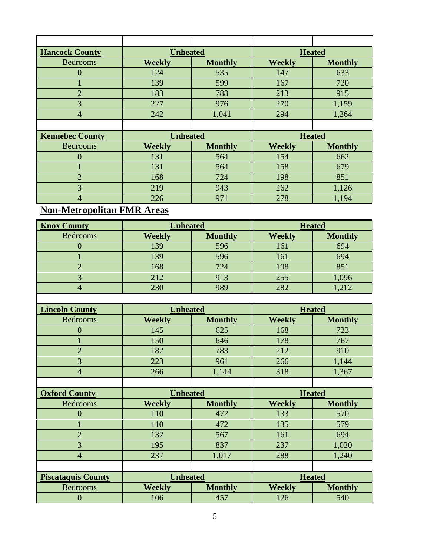| <b>Hancock County</b> | <b>Unheated</b> |                |               | <b>Heated</b>  |
|-----------------------|-----------------|----------------|---------------|----------------|
| <b>Bedrooms</b>       | <b>Weekly</b>   | <b>Monthly</b> | <b>Weekly</b> | <b>Monthly</b> |
|                       | 124             | 535            | 147           | 633            |
|                       | 139             | 599            | 167           | 720            |
|                       | 183             | 788            | 213           | 915            |
|                       | 227             | 976            | 270           | 1,159          |
|                       | 242             | 1,041          | 294           | 1,264          |
|                       |                 |                |               |                |
|                       |                 |                |               |                |

| <b>Kennebec County</b> | <b>Unheated</b> |                | <b>Heated</b> |                |
|------------------------|-----------------|----------------|---------------|----------------|
| <b>Bedrooms</b>        | <b>Weekly</b>   | <b>Monthly</b> | <b>Weekly</b> | <b>Monthly</b> |
|                        | 131             | 564            | 154           | 662            |
|                        | 131             | 564            | 158           | 679            |
|                        | 168             | 724            | 198           | 851            |
|                        | 219             | 943            | 262           | 1,126          |
|                        | 226             |                | 278           | ,194           |

# **Non-Metropolitan FMR Areas**

| <b>Knox County</b> | <b>Unheated</b> |                |               | <b>Heated</b>  |
|--------------------|-----------------|----------------|---------------|----------------|
| <b>Bedrooms</b>    | <b>Weekly</b>   | <b>Monthly</b> | <b>Weekly</b> | <b>Monthly</b> |
|                    | 139             | 596            | 161           | 694            |
|                    | 139             | 596            | 161           | 694            |
|                    | 168             | 724            | 198           | 851            |
|                    | 212             | 913            | 255           | 1,096          |
|                    | 230             | 989            | 282           | 1,212          |
|                    |                 |                |               |                |

| <b>Lincoln County</b> | <b>Unheated</b><br><b>Heated</b> |                |               |                |
|-----------------------|----------------------------------|----------------|---------------|----------------|
| <b>Bedrooms</b>       | <b>Weekly</b>                    | <b>Monthly</b> | <b>Weekly</b> | <b>Monthly</b> |
|                       | 145                              | 625            | 168           | 723            |
|                       | 150                              | 646            | 178           | 767            |
|                       | 182                              | 783            | 212           | 910            |
|                       | 223                              | 961            | 266           | 1,144          |
|                       | 266                              | 1,144          | 318           | 1,367          |
|                       |                                  |                |               |                |

| <b>Oxford County</b>      | <b>Unheated</b> |                |               | <b>Heated</b>  |
|---------------------------|-----------------|----------------|---------------|----------------|
| <b>Bedrooms</b>           | <b>Weekly</b>   | <b>Monthly</b> | <b>Weekly</b> | <b>Monthly</b> |
|                           | 110             | 472            | 133           | 570            |
|                           | 110             | 472            | 135           | 579            |
|                           | 132             | 567            | 161           | 694            |
| 3                         | 195             | 837            | 237           | 1,020          |
| 4                         | 237             | 1,017          | 288           | 1,240          |
|                           |                 |                |               |                |
| <b>Piscataquis County</b> | <b>Unheated</b> |                |               | <b>Heated</b>  |
| <b>Bedrooms</b>           | <b>Weekly</b>   | <b>Monthly</b> | <b>Weekly</b> | <b>Monthly</b> |
|                           | 106             | 457            | 126           | 540            |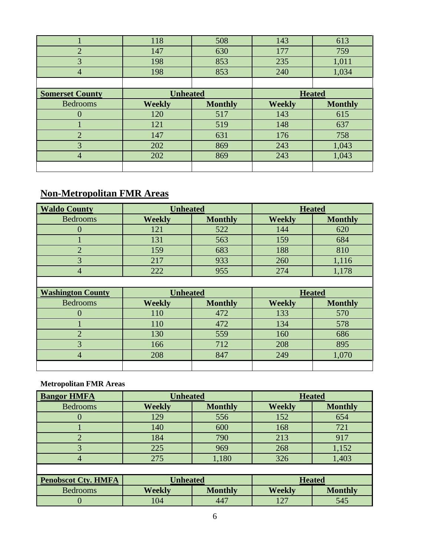|                        | 118             | 508            | 143           | 613            |
|------------------------|-----------------|----------------|---------------|----------------|
| $\overline{2}$         | 147             | 630            | 177           | 759            |
| 3                      | 198             | 853            | 235           | 1,011          |
| $\overline{4}$         | 198             | 853            | 240           | 1,034          |
|                        |                 |                |               |                |
| <b>Somerset County</b> | <b>Unheated</b> |                | <b>Heated</b> |                |
| <b>Bedrooms</b>        | <b>Weekly</b>   | <b>Monthly</b> | <b>Weekly</b> | <b>Monthly</b> |
|                        |                 |                |               |                |
|                        | 120             | 517            | 143           | 615            |
|                        | 121             | 519            | 148           | 637            |
| $\overline{2}$         | 147             | 631            | 176           | 758            |
| 3                      | 202             | 869            | 243           | 1,043          |
| 4                      | 202             | 869            | 243           | 1,043          |

# **Non-Metropolitan FMR Areas**

| <b>Waldo County</b>      | <b>Unheated</b> |                |               | <b>Heated</b>  |
|--------------------------|-----------------|----------------|---------------|----------------|
| <b>Bedrooms</b>          | <b>Weekly</b>   | <b>Monthly</b> | <b>Weekly</b> | <b>Monthly</b> |
| $\Omega$                 | 121             | 522            | 144           | 620            |
|                          | 131             | 563            | 159           | 684            |
| $\overline{2}$           | 159             | 683            | 188           | 810            |
| 3                        | 217             | 933            | 260           | 1,116          |
| $\overline{4}$           | 222             | 955            | 274           | 1,178          |
|                          |                 |                |               |                |
|                          | <b>Unheated</b> |                |               |                |
| <b>Washington County</b> |                 |                |               | <b>Heated</b>  |
| <b>Bedrooms</b>          | <b>Weekly</b>   | <b>Monthly</b> | <b>Weekly</b> | <b>Monthly</b> |
| $\overline{0}$           | 110             | 472            | 133           | 570            |
|                          | 110             | 472            | 134           | 578            |
| $\overline{2}$           | 130             | 559            | 160           | 686            |
| 3                        | 166             | 712            | 208           | 895            |
| $\overline{4}$           | 208             | 847            | 249           | 1,070          |

# **Metropolitan FMR Areas**

| <b>Bangor HMFA</b>         | <b>Unheated</b> |                | <b>Heated</b> |                |
|----------------------------|-----------------|----------------|---------------|----------------|
| <b>Bedrooms</b>            | <b>Weekly</b>   | <b>Monthly</b> | <b>Weekly</b> | <b>Monthly</b> |
|                            | 129             | 556            | 152           | 654            |
|                            | 140             | 600            | 168           | 721            |
| റ                          | 184             | 790            | 213           | 917            |
| 3                          | 225             | 969            | 268           | 1,152          |
| 4                          | 275             | 1,180          | 326           | 1,403          |
|                            |                 |                |               |                |
| <b>Penobscot Cty. HMFA</b> | <b>Unheated</b> |                | <b>Heated</b> |                |
| <b>Bedrooms</b>            | <b>Weekly</b>   | <b>Monthly</b> | <b>Weekly</b> | <b>Monthly</b> |
|                            | 104             | 447            | 127           | 545            |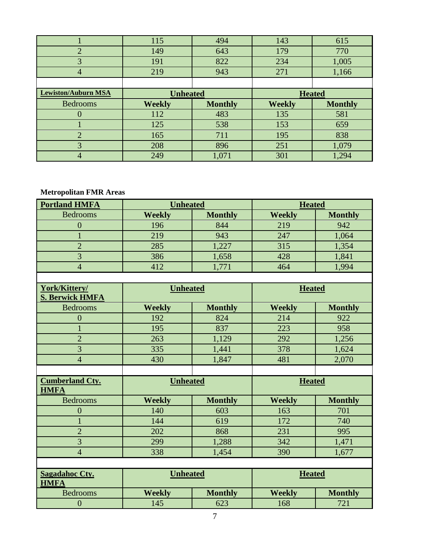|                            | 115             | 494            | 143           | 615            |
|----------------------------|-----------------|----------------|---------------|----------------|
| $\overline{2}$             | 149             | 643            | 179           | 770            |
| 3                          | 191             | 822            | 234           | 1,005          |
| 4                          | 219             | 943            | 271           | 1,166          |
|                            |                 |                |               |                |
| <b>Lewiston/Auburn MSA</b> | <b>Unheated</b> |                |               | <b>Heated</b>  |
|                            |                 |                |               |                |
| <b>Bedrooms</b>            | <b>Weekly</b>   | <b>Monthly</b> | <b>Weekly</b> | <b>Monthly</b> |
|                            | 112             | 483            | 135           | 581            |
|                            | 125             | 538            | 153           | 659            |
| $\overline{2}$             | 165             | 711            | 195           | 838            |
| 3                          | 208             | 896            | 251           | 1,079          |

## **Metropolitan FMR Areas**

| <b>Portland HMFA</b> | <b>Unheated</b> |                | <b>Heated</b> |                |
|----------------------|-----------------|----------------|---------------|----------------|
| <b>Bedrooms</b>      | <b>Weekly</b>   | <b>Monthly</b> | <b>Weekly</b> | <b>Monthly</b> |
|                      | 196             | 844            | 219           | 942            |
|                      | 219             | 943            | 247           | 1,064          |
|                      | 285             | 1,227          | 315           | 1,354          |
|                      | 386             | 1,658          | 428           | 1,841          |
|                      | 412             |                | 464           | .994           |

| York/Kittery/<br><b>S. Berwick HMFA</b> | <b>Unheated</b> |                | <b>Heated</b> |                |
|-----------------------------------------|-----------------|----------------|---------------|----------------|
| <b>Bedrooms</b>                         | <b>Weekly</b>   | <b>Monthly</b> | <b>Weekly</b> | <b>Monthly</b> |
|                                         | 192             | 824            | 214           | 922            |
|                                         | 195             | 837            | 223           | 958            |
|                                         | 263             | 1,129          | 292           | 1,256          |
|                                         | 335             | 1,441          | 378           | 1,624          |
|                                         | 430             | 1,847          | 48            | 2,070          |

| <b>Cumberland Cty.</b><br><b>HMFA</b> | <b>Unheated</b> |                | <b>Heated</b> |                |
|---------------------------------------|-----------------|----------------|---------------|----------------|
| <b>Bedrooms</b>                       | <b>Weekly</b>   | <b>Monthly</b> | <b>Weekly</b> | <b>Monthly</b> |
|                                       | 140             | 603            | 163           | 701            |
|                                       | 144             | 619            | 172           | 740            |
|                                       | 202             | 868            | 231           | 995            |
|                                       | 299             | 1,288          | 342           | 1,471          |
| 4                                     | 338             | 1,454          | 390           | 1,677          |
|                                       |                 |                |               |                |

| <b>Sagadahoc Cty.</b><br><b>HMFA</b> | <b>Unheated</b> |                | <b>Heated</b> |                |
|--------------------------------------|-----------------|----------------|---------------|----------------|
| <b>Bedrooms</b>                      | Weekly          | <b>Monthly</b> | <b>Weekly</b> | <b>Monthly</b> |
|                                      | 45              | 623            | .68           | $70^{\circ}$   |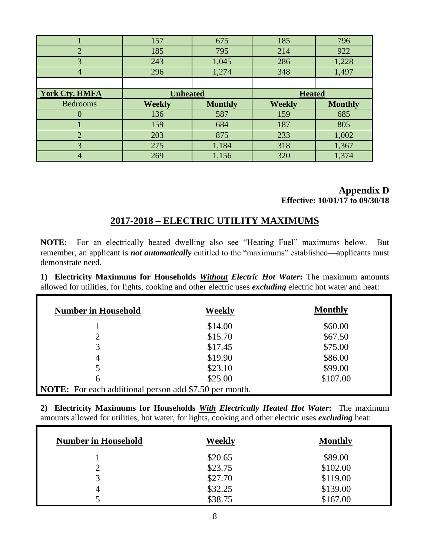|                       | 157             | 675            | 185           | 796            |
|-----------------------|-----------------|----------------|---------------|----------------|
| $\overline{2}$        | 185             | 795            | 214           | 922            |
| 3                     | 243             | 1,045          | 286           | 1,228          |
| $\overline{4}$        | 296             | 1,274          | 348           | 1,497          |
|                       |                 |                |               |                |
| <b>York Cty. HMFA</b> | <b>Unheated</b> |                | <b>Heated</b> |                |
|                       |                 |                |               |                |
| <b>Bedrooms</b>       | <b>Weekly</b>   | <b>Monthly</b> | <b>Weekly</b> | <b>Monthly</b> |
|                       | 136             | 587            | 159           | 685            |
|                       | 159             | 684            | 187           | 805            |
| $\overline{2}$        | 203             | 875            | 233           | 1,002          |
| 3                     | 275             | 1,184          | 318           | 1,367          |

### **Appendix D Effective: 10/01/17 to 09/30/18**

# **2017-2018 – ELECTRIC UTILITY MAXIMUMS**

**NOTE:** For an electrically heated dwelling also see "Heating Fuel" maximums below. But remember, an applicant is *not automatically* entitled to the "maximums" established—applicants must demonstrate need.

**1) Electricity Maximums for Households** *Without Electric Hot Water***:** The maximum amounts allowed for utilities, for lights, cooking and other electric uses *excluding* electric hot water and heat:

| <b>Number in Household</b>                                    | Weekly  | <b>Monthly</b> |
|---------------------------------------------------------------|---------|----------------|
|                                                               | \$14.00 | \$60.00        |
| $\overline{2}$                                                | \$15.70 | \$67.50        |
| 3                                                             | \$17.45 | \$75.00        |
| 4                                                             | \$19.90 | \$86.00        |
| 5                                                             | \$23.10 | \$99.00        |
| 6                                                             | \$25.00 | \$107.00       |
| <b>NOTE:</b> For each additional person add \$7.50 per month. |         |                |

**2) Electricity Maximums for Households** *With Electrically Heated Hot Water***:** The maximum amounts allowed for utilities, hot water, for lights, cooking and other electric uses *excluding* heat:

| <b>Number in Household</b> | Weekly  | <b>Monthly</b> |
|----------------------------|---------|----------------|
|                            | \$20.65 | \$89.00        |
|                            | \$23.75 | \$102.00       |
| 3                          | \$27.70 | \$119.00       |
| 4                          | \$32.25 | \$139.00       |
|                            | \$38.75 | \$167.00       |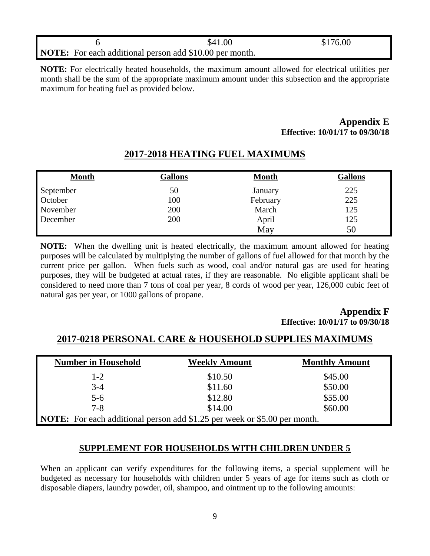|  | \$41.00                                                        | \$176.00 |
|--|----------------------------------------------------------------|----------|
|  | <b>NOTE:</b> For each additional person add \$10.00 per month. |          |

**NOTE:** For electrically heated households, the maximum amount allowed for electrical utilities per month shall be the sum of the appropriate maximum amount under this subsection and the appropriate maximum for heating fuel as provided below.

### **Appendix E Effective: 10/01/17 to 09/30/18**

| <b>Month</b> | <b>Gallons</b> | <b>Month</b> | <b>Gallons</b> |
|--------------|----------------|--------------|----------------|
| September    | 50             | January      | 225            |
| October      | 100            | February     | 225            |
| November     | 200            | March        | 125            |
| December     | 200            | April        | 125            |
|              |                | May          | 50             |

# **2017-2018 HEATING FUEL MAXIMUMS**

**NOTE:** When the dwelling unit is heated electrically, the maximum amount allowed for heating purposes will be calculated by multiplying the number of gallons of fuel allowed for that month by the current price per gallon. When fuels such as wood, coal and/or natural gas are used for heating purposes, they will be budgeted at actual rates, if they are reasonable. No eligible applicant shall be considered to need more than 7 tons of coal per year, 8 cords of wood per year, 126,000 cubic feet of natural gas per year, or 1000 gallons of propane.

### **Appendix F Effective: 10/01/17 to 09/30/18**

# **2017-0218 PERSONAL CARE & HOUSEHOLD SUPPLIES MAXIMUMS**

| <b>Number in Household</b>                                                       | <b>Weekly Amount</b> | <b>Monthly Amount</b> |
|----------------------------------------------------------------------------------|----------------------|-----------------------|
| $1-2$                                                                            | \$10.50              | \$45.00               |
| $3 - 4$                                                                          | \$11.60              | \$50.00               |
| $5 - 6$                                                                          | \$12.80              | \$55.00               |
| $7 - 8$                                                                          | \$14.00              | \$60.00               |
| <b>NOTE:</b> For each additional person add \$1.25 per week or \$5.00 per month. |                      |                       |

### **SUPPLEMENT FOR HOUSEHOLDS WITH CHILDREN UNDER 5**

When an applicant can verify expenditures for the following items, a special supplement will be budgeted as necessary for households with children under 5 years of age for items such as cloth or disposable diapers, laundry powder, oil, shampoo, and ointment up to the following amounts: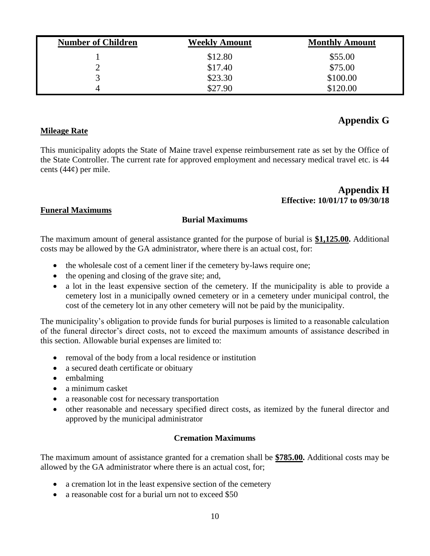| <b>Number of Children</b> | <b>Weekly Amount</b> | <b>Monthly Amount</b> |
|---------------------------|----------------------|-----------------------|
|                           | \$12.80              | \$55.00               |
|                           | \$17.40              | \$75.00               |
|                           | \$23.30              | \$100.00              |
| $\overline{4}$            | \$27.90              | \$120.00              |

# **Appendix G**

### **Mileage Rate**

This municipality adopts the State of Maine travel expense reimbursement rate as set by the Office of the State Controller. The current rate for approved employment and necessary medical travel etc. is 44 cents  $(44¢)$  per mile.

### **Appendix H Effective: 10/01/17 to 09/30/18**

### **Funeral Maximums**

### **Burial Maximums**

The maximum amount of general assistance granted for the purpose of burial is **\$1,125.00.** Additional costs may be allowed by the GA administrator, where there is an actual cost, for:

- the wholesale cost of a cement liner if the cemetery by-laws require one;
- the opening and closing of the grave site; and,
- a lot in the least expensive section of the cemetery. If the municipality is able to provide a cemetery lost in a municipally owned cemetery or in a cemetery under municipal control, the cost of the cemetery lot in any other cemetery will not be paid by the municipality.

The municipality's obligation to provide funds for burial purposes is limited to a reasonable calculation of the funeral director's direct costs, not to exceed the maximum amounts of assistance described in this section. Allowable burial expenses are limited to:

- removal of the body from a local residence or institution
- a secured death certificate or obituary
- embalming
- a minimum casket
- a reasonable cost for necessary transportation
- other reasonable and necessary specified direct costs, as itemized by the funeral director and approved by the municipal administrator

### **Cremation Maximums**

The maximum amount of assistance granted for a cremation shall be **\$785.00.** Additional costs may be allowed by the GA administrator where there is an actual cost, for;

- a cremation lot in the least expensive section of the cemetery
- a reasonable cost for a burial urn not to exceed \$50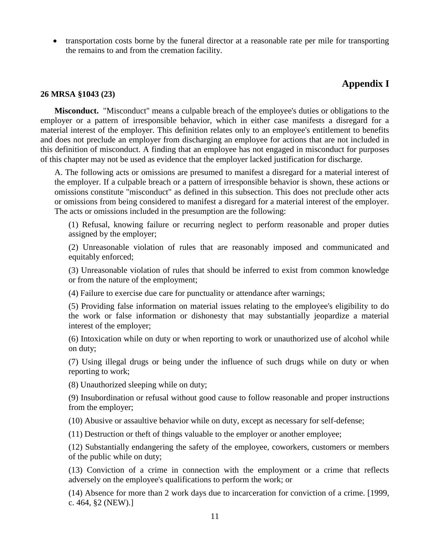transportation costs borne by the funeral director at a reasonable rate per mile for transporting the remains to and from the cremation facility.

# **Appendix I**

#### **26 MRSA §1043 (23)**

**Misconduct.** "Misconduct" means a culpable breach of the employee's duties or obligations to the employer or a pattern of irresponsible behavior, which in either case manifests a disregard for a material interest of the employer. This definition relates only to an employee's entitlement to benefits and does not preclude an employer from discharging an employee for actions that are not included in this definition of misconduct. A finding that an employee has not engaged in misconduct for purposes of this chapter may not be used as evidence that the employer lacked justification for discharge.

A. The following acts or omissions are presumed to manifest a disregard for a material interest of the employer. If a culpable breach or a pattern of irresponsible behavior is shown, these actions or omissions constitute "misconduct" as defined in this subsection. This does not preclude other acts or omissions from being considered to manifest a disregard for a material interest of the employer. The acts or omissions included in the presumption are the following:

(1) Refusal, knowing failure or recurring neglect to perform reasonable and proper duties assigned by the employer;

(2) Unreasonable violation of rules that are reasonably imposed and communicated and equitably enforced;

(3) Unreasonable violation of rules that should be inferred to exist from common knowledge or from the nature of the employment;

(4) Failure to exercise due care for punctuality or attendance after warnings;

(5) Providing false information on material issues relating to the employee's eligibility to do the work or false information or dishonesty that may substantially jeopardize a material interest of the employer;

(6) Intoxication while on duty or when reporting to work or unauthorized use of alcohol while on duty;

(7) Using illegal drugs or being under the influence of such drugs while on duty or when reporting to work;

(8) Unauthorized sleeping while on duty;

(9) Insubordination or refusal without good cause to follow reasonable and proper instructions from the employer;

(10) Abusive or assaultive behavior while on duty, except as necessary for self-defense;

(11) Destruction or theft of things valuable to the employer or another employee;

(12) Substantially endangering the safety of the employee, coworkers, customers or members of the public while on duty;

(13) Conviction of a crime in connection with the employment or a crime that reflects adversely on the employee's qualifications to perform the work; or

(14) Absence for more than 2 work days due to incarceration for conviction of a crime. [1999, c. 464, §2 (NEW).]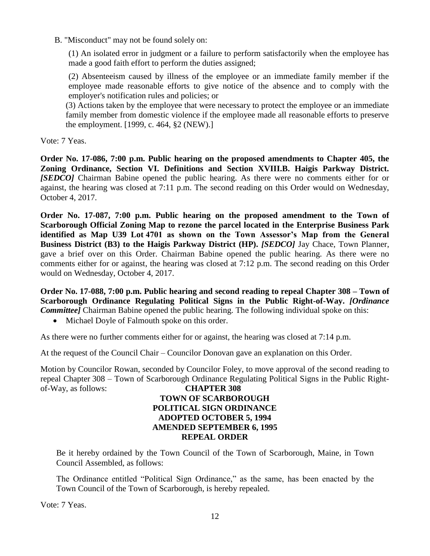B. "Misconduct" may not be found solely on:

(1) An isolated error in judgment or a failure to perform satisfactorily when the employee has made a good faith effort to perform the duties assigned;

(2) Absenteeism caused by illness of the employee or an immediate family member if the employee made reasonable efforts to give notice of the absence and to comply with the employer's notification rules and policies; or

(3) Actions taken by the employee that were necessary to protect the employee or an immediate family member from domestic violence if the employee made all reasonable efforts to preserve the employment. [1999, c. 464, §2 (NEW).]

Vote: 7 Yeas.

**Order No. 17-086, 7:00 p.m. Public hearing on the proposed amendments to Chapter 405, the Zoning Ordinance, Section VI. Definitions and Section XVIII.B. Haigis Parkway District.**  *[SEDCO]* Chairman Babine opened the public hearing. As there were no comments either for or against, the hearing was closed at 7:11 p.m. The second reading on this Order would on Wednesday, October 4, 2017.

**Order No. 17-087, 7:00 p.m. Public hearing on the proposed amendment to the Town of Scarborough Official Zoning Map to rezone the parcel located in the Enterprise Business Park identified as Map U39 Lot 4701 as shown on the Town Assessor's Map from the General Business District (B3) to the Haigis Parkway District (HP).** *[SEDCO]* Jay Chace, Town Planner, gave a brief over on this Order. Chairman Babine opened the public hearing. As there were no comments either for or against, the hearing was closed at 7:12 p.m. The second reading on this Order would on Wednesday, October 4, 2017.

**Order No. 17-088, 7:00 p.m. Public hearing and second reading to repeal Chapter 308 – Town of Scarborough Ordinance Regulating Political Signs in the Public Right-of-Way.** *[Ordinance Committee]* Chairman Babine opened the public hearing. The following individual spoke on this:

• Michael Doyle of Falmouth spoke on this order.

As there were no further comments either for or against, the hearing was closed at 7:14 p.m.

At the request of the Council Chair – Councilor Donovan gave an explanation on this Order.

Motion by Councilor Rowan, seconded by Councilor Foley, to move approval of the second reading to repeal Chapter 308 – Town of Scarborough Ordinance Regulating Political Signs in the Public Rightof-Way, as follows: **CHAPTER 308**

## **TOWN OF SCARBOROUGH POLITICAL SIGN ORDINANCE ADOPTED OCTOBER 5, 1994 AMENDED SEPTEMBER 6, 1995 REPEAL ORDER**

Be it hereby ordained by the Town Council of the Town of Scarborough, Maine, in Town Council Assembled, as follows:

The Ordinance entitled "Political Sign Ordinance," as the same, has been enacted by the Town Council of the Town of Scarborough, is hereby repealed.

Vote: 7 Yeas.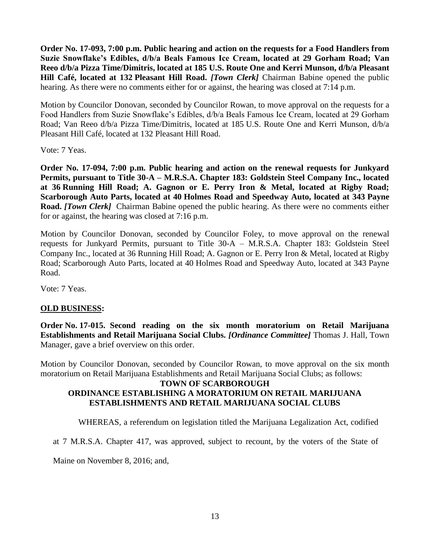**Order No. 17-093, 7:00 p.m. Public hearing and action on the requests for a Food Handlers from Suzie Snowflake's Edibles, d/b/a Beals Famous Ice Cream, located at 29 Gorham Road; Van Reeo d/b/a Pizza Time/Dimitris, located at 185 U.S. Route One and Kerri Munson, d/b/a Pleasant Hill Café, located at 132 Pleasant Hill Road.** *[Town Clerk]* Chairman Babine opened the public hearing. As there were no comments either for or against, the hearing was closed at 7:14 p.m.

Motion by Councilor Donovan, seconded by Councilor Rowan, to move approval on the requests for a Food Handlers from Suzie Snowflake's Edibles, d/b/a Beals Famous Ice Cream, located at 29 Gorham Road; Van Reeo d/b/a Pizza Time/Dimitris, located at 185 U.S. Route One and Kerri Munson, d/b/a Pleasant Hill Café, located at 132 Pleasant Hill Road.

Vote: 7 Yeas.

**Order No. 17-094, 7:00 p.m. Public hearing and action on the renewal requests for Junkyard Permits, pursuant to Title 30-A – M.R.S.A. Chapter 183: Goldstein Steel Company Inc., located at 36 Running Hill Road; A. Gagnon or E. Perry Iron & Metal, located at Rigby Road; Scarborough Auto Parts, located at 40 Holmes Road and Speedway Auto, located at 343 Payne Road.** *[Town Clerk]* Chairman Babine opened the public hearing. As there were no comments either for or against, the hearing was closed at 7:16 p.m.

Motion by Councilor Donovan, seconded by Councilor Foley, to move approval on the renewal requests for Junkyard Permits, pursuant to Title 30-A – M.R.S.A. Chapter 183: Goldstein Steel Company Inc., located at 36 Running Hill Road; A. Gagnon or E. Perry Iron & Metal, located at Rigby Road; Scarborough Auto Parts, located at 40 Holmes Road and Speedway Auto, located at 343 Payne Road.

Vote: 7 Yeas.

### **OLD BUSINESS:**

**Order No. 17-015. Second reading on the six month moratorium on Retail Marijuana Establishments and Retail Marijuana Social Clubs.** *[Ordinance Committee]* Thomas J. Hall, Town Manager, gave a brief overview on this order.

Motion by Councilor Donovan, seconded by Councilor Rowan, to move approval on the six month moratorium on Retail Marijuana Establishments and Retail Marijuana Social Clubs; as follows:

### **TOWN OF SCARBOROUGH ORDINANCE ESTABLISHING A MORATORIUM ON RETAIL MARIJUANA ESTABLISHMENTS AND RETAIL MARIJUANA SOCIAL CLUBS**

WHEREAS, a referendum on legislation titled the Marijuana Legalization Act, codified

at 7 M.R.S.A. Chapter 417, was approved, subject to recount, by the voters of the State of

Maine on November 8, 2016; and,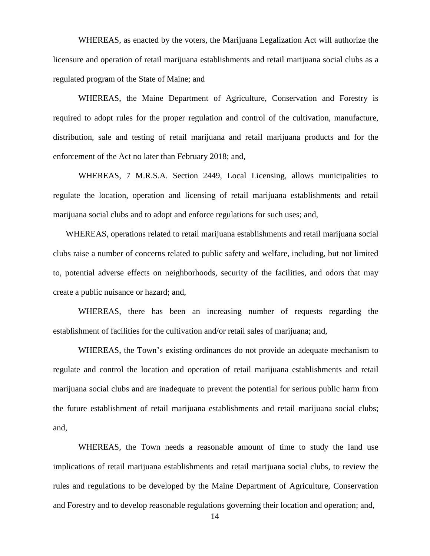WHEREAS, as enacted by the voters, the Marijuana Legalization Act will authorize the licensure and operation of retail marijuana establishments and retail marijuana social clubs as a regulated program of the State of Maine; and

WHEREAS, the Maine Department of Agriculture, Conservation and Forestry is required to adopt rules for the proper regulation and control of the cultivation, manufacture, distribution, sale and testing of retail marijuana and retail marijuana products and for the enforcement of the Act no later than February 2018; and,

WHEREAS, 7 M.R.S.A. Section 2449, Local Licensing, allows municipalities to regulate the location, operation and licensing of retail marijuana establishments and retail marijuana social clubs and to adopt and enforce regulations for such uses; and,

WHEREAS, operations related to retail marijuana establishments and retail marijuana social clubs raise a number of concerns related to public safety and welfare, including, but not limited to, potential adverse effects on neighborhoods, security of the facilities, and odors that may create a public nuisance or hazard; and,

WHEREAS, there has been an increasing number of requests regarding the establishment of facilities for the cultivation and/or retail sales of marijuana; and,

WHEREAS, the Town's existing ordinances do not provide an adequate mechanism to regulate and control the location and operation of retail marijuana establishments and retail marijuana social clubs and are inadequate to prevent the potential for serious public harm from the future establishment of retail marijuana establishments and retail marijuana social clubs; and,

WHEREAS, the Town needs a reasonable amount of time to study the land use implications of retail marijuana establishments and retail marijuana social clubs, to review the rules and regulations to be developed by the Maine Department of Agriculture, Conservation and Forestry and to develop reasonable regulations governing their location and operation; and,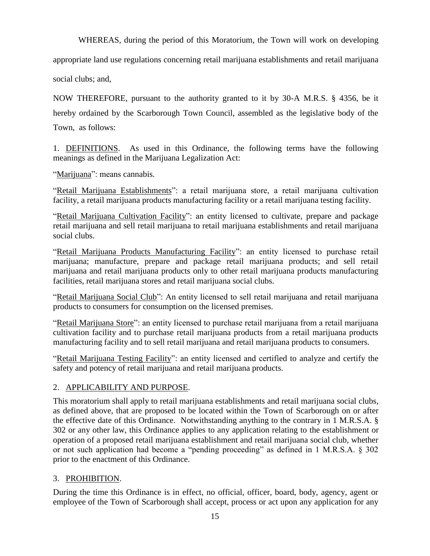WHEREAS, during the period of this Moratorium, the Town will work on developing

appropriate land use regulations concerning retail marijuana establishments and retail marijuana

social clubs; and,

NOW THEREFORE, pursuant to the authority granted to it by 30-A M.R.S. § 4356, be it hereby ordained by the Scarborough Town Council, assembled as the legislative body of the Town, as follows:

1. DEFINITIONS. As used in this Ordinance, the following terms have the following meanings as defined in the Marijuana Legalization Act:

"Marijuana": means cannabis.

"Retail Marijuana Establishments": a retail marijuana store, a retail marijuana cultivation facility, a retail marijuana products manufacturing facility or a retail marijuana testing facility.

"Retail Marijuana Cultivation Facility": an entity licensed to cultivate, prepare and package retail marijuana and sell retail marijuana to retail marijuana establishments and retail marijuana social clubs.

"Retail Marijuana Products Manufacturing Facility": an entity licensed to purchase retail marijuana; manufacture, prepare and package retail marijuana products; and sell retail marijuana and retail marijuana products only to other retail marijuana products manufacturing facilities, retail marijuana stores and retail marijuana social clubs.

"Retail Marijuana Social Club": An entity licensed to sell retail marijuana and retail marijuana products to consumers for consumption on the licensed premises.

"Retail Marijuana Store": an entity licensed to purchase retail marijuana from a retail marijuana cultivation facility and to purchase retail marijuana products from a retail marijuana products manufacturing facility and to sell retail marijuana and retail marijuana products to consumers.

"Retail Marijuana Testing Facility": an entity licensed and certified to analyze and certify the safety and potency of retail marijuana and retail marijuana products.

### 2. APPLICABILITY AND PURPOSE.

This moratorium shall apply to retail marijuana establishments and retail marijuana social clubs, as defined above, that are proposed to be located within the Town of Scarborough on or after the effective date of this Ordinance. Notwithstanding anything to the contrary in 1 M.R.S.A. § 302 or any other law, this Ordinance applies to any application relating to the establishment or operation of a proposed retail marijuana establishment and retail marijuana social club, whether or not such application had become a "pending proceeding" as defined in 1 M.R.S.A. § 302 prior to the enactment of this Ordinance.

### 3. PROHIBITION.

During the time this Ordinance is in effect, no official, officer, board, body, agency, agent or employee of the Town of Scarborough shall accept, process or act upon any application for any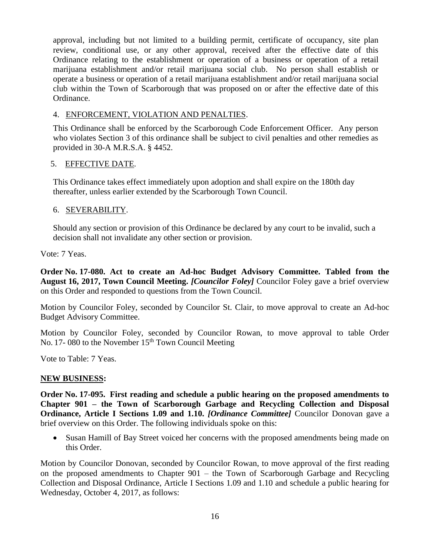approval, including but not limited to a building permit, certificate of occupancy, site plan review, conditional use, or any other approval, received after the effective date of this Ordinance relating to the establishment or operation of a business or operation of a retail marijuana establishment and/or retail marijuana social club. No person shall establish or operate a business or operation of a retail marijuana establishment and/or retail marijuana social club within the Town of Scarborough that was proposed on or after the effective date of this Ordinance.

### 4. ENFORCEMENT, VIOLATION AND PENALTIES.

This Ordinance shall be enforced by the Scarborough Code Enforcement Officer. Any person who violates Section 3 of this ordinance shall be subject to civil penalties and other remedies as provided in 30-A M.R.S.A. § 4452.

### 5. EFFECTIVE DATE.

This Ordinance takes effect immediately upon adoption and shall expire on the 180th day thereafter, unless earlier extended by the Scarborough Town Council.

### 6. SEVERABILITY.

Should any section or provision of this Ordinance be declared by any court to be invalid, such a decision shall not invalidate any other section or provision.

Vote: 7 Yeas.

**Order No. 17-080. Act to create an Ad-hoc Budget Advisory Committee. Tabled from the August 16, 2017, Town Council Meeting.** *[Councilor Foley]* Councilor Foley gave a brief overview on this Order and responded to questions from the Town Council.

Motion by Councilor Foley, seconded by Councilor St. Clair, to move approval to create an Ad-hoc Budget Advisory Committee.

Motion by Councilor Foley, seconded by Councilor Rowan, to move approval to table Order No. 17- 080 to the November  $15<sup>th</sup>$  Town Council Meeting

Vote to Table: 7 Yeas.

### **NEW BUSINESS:**

**Order No. 17-095. First reading and schedule a public hearing on the proposed amendments to Chapter 901 – the Town of Scarborough Garbage and Recycling Collection and Disposal Ordinance, Article I Sections 1.09 and 1.10.** *[Ordinance Committee]* **Councilor Donovan gave a** brief overview on this Order. The following individuals spoke on this:

 Susan Hamill of Bay Street voiced her concerns with the proposed amendments being made on this Order.

Motion by Councilor Donovan, seconded by Councilor Rowan, to move approval of the first reading on the proposed amendments to Chapter 901 – the Town of Scarborough Garbage and Recycling Collection and Disposal Ordinance, Article I Sections 1.09 and 1.10 and schedule a public hearing for Wednesday, October 4, 2017, as follows: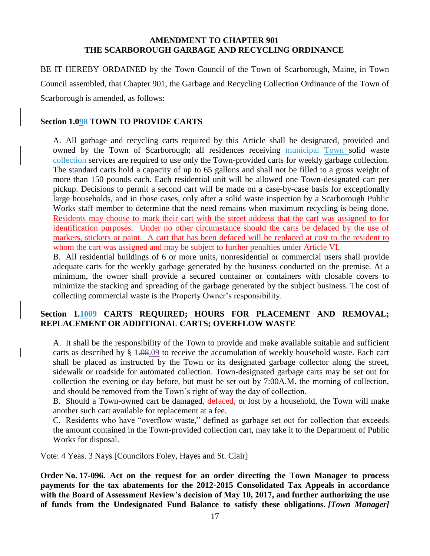### **AMENDMENT TO CHAPTER 901 THE SCARBOROUGH GARBAGE AND RECYCLING ORDINANCE**

BE IT HEREBY ORDAINED by the Town Council of the Town of Scarborough, Maine, in Town Council assembled, that Chapter 901, the Garbage and Recycling Collection Ordinance of the Town of Scarborough is amended, as follows:

#### **Section 1.098 TOWN TO PROVIDE CARTS**

A. All garbage and recycling carts required by this Article shall be designated, provided and owned by the Town of Scarborough; all residences receiving municipal Town solid waste collection services are required to use only the Town-provided carts for weekly garbage collection. The standard carts hold a capacity of up to 65 gallons and shall not be filled to a gross weight of more than 150 pounds each. Each residential unit will be allowed one Town-designated cart per pickup. Decisions to permit a second cart will be made on a case-by-case basis for exceptionally large households, and in those cases, only after a solid waste inspection by a Scarborough Public Works staff member to determine that the need remains when maximum recycling is being done. Residents may choose to mark their cart with the street address that the cart was assigned to for identification purposes. Under no other circumstance should the carts be defaced by the use of markers, stickers or paint. A cart that has been defaced will be replaced at cost to the resident to whom the cart was assigned and may be subject to further penalties under Article VI.

B. All residential buildings of 6 or more units, nonresidential or commercial users shall provide adequate carts for the weekly garbage generated by the business conducted on the premise. At a minimum, the owner shall provide a secured container or containers with closable covers to minimize the stacking and spreading of the garbage generated by the subject business. The cost of collecting commercial waste is the Property Owner's responsibility.

### **Section 1.1009 CARTS REQUIRED; HOURS FOR PLACEMENT AND REMOVAL; REPLACEMENT OR ADDITIONAL CARTS; OVERFLOW WASTE**

A. It shall be the responsibility of the Town to provide and make available suitable and sufficient carts as described by  $\S$  1.08.09 to receive the accumulation of weekly household waste. Each cart shall be placed as instructed by the Town or its designated garbage collector along the street, sidewalk or roadside for automated collection. Town-designated garbage carts may be set out for collection the evening or day before, but must be set out by 7:00A.M. the morning of collection, and should be removed from the Town's right of way the day of collection.

B. Should a Town-owned cart be damaged, defaced, or lost by a household, the Town will make another such cart available for replacement at a fee.

C. Residents who have "overflow waste," defined as garbage set out for collection that exceeds the amount contained in the Town-provided collection cart, may take it to the Department of Public Works for disposal.

Vote: 4 Yeas. 3 Nays [Councilors Foley, Hayes and St. Clair]

**Order No. 17-096. Act on the request for an order directing the Town Manager to process payments for the tax abatements for the 2012-2015 Consolidated Tax Appeals in accordance with the Board of Assessment Review's decision of May 10, 2017, and further authorizing the use of funds from the Undesignated Fund Balance to satisfy these obligations.** *[Town Manager]*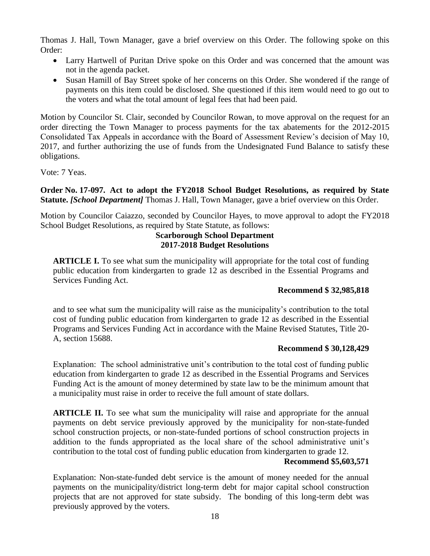Thomas J. Hall, Town Manager, gave a brief overview on this Order. The following spoke on this Order:

- Larry Hartwell of Puritan Drive spoke on this Order and was concerned that the amount was not in the agenda packet.
- Susan Hamill of Bay Street spoke of her concerns on this Order. She wondered if the range of payments on this item could be disclosed. She questioned if this item would need to go out to the voters and what the total amount of legal fees that had been paid.

Motion by Councilor St. Clair, seconded by Councilor Rowan, to move approval on the request for an order directing the Town Manager to process payments for the tax abatements for the 2012-2015 Consolidated Tax Appeals in accordance with the Board of Assessment Review's decision of May 10, 2017, and further authorizing the use of funds from the Undesignated Fund Balance to satisfy these obligations.

Vote: 7 Yeas.

**Order No. 17-097. Act to adopt the FY2018 School Budget Resolutions, as required by State Statute.** *[School Department]* Thomas J. Hall, Town Manager, gave a brief overview on this Order.

Motion by Councilor Caiazzo, seconded by Councilor Hayes, to move approval to adopt the FY2018 School Budget Resolutions, as required by State Statute, as follows:

### **Scarborough School Department 2017-2018 Budget Resolutions**

**ARTICLE I.** To see what sum the municipality will appropriate for the total cost of funding public education from kindergarten to grade 12 as described in the Essential Programs and Services Funding Act.

### **Recommend \$ 32,985,818**

and to see what sum the municipality will raise as the municipality's contribution to the total cost of funding public education from kindergarten to grade 12 as described in the Essential Programs and Services Funding Act in accordance with the Maine Revised Statutes, Title 20- A, section 15688.

### **Recommend \$ 30,128,429**

Explanation: The school administrative unit's contribution to the total cost of funding public education from kindergarten to grade 12 as described in the Essential Programs and Services Funding Act is the amount of money determined by state law to be the minimum amount that a municipality must raise in order to receive the full amount of state dollars.

**ARTICLE II.** To see what sum the municipality will raise and appropriate for the annual payments on debt service previously approved by the municipality for non-state-funded school construction projects, or non-state-funded portions of school construction projects in addition to the funds appropriated as the local share of the school administrative unit's contribution to the total cost of funding public education from kindergarten to grade 12.

### **Recommend \$5,603,571**

Explanation: Non-state-funded debt service is the amount of money needed for the annual payments on the municipality/district long-term debt for major capital school construction projects that are not approved for state subsidy. The bonding of this long-term debt was previously approved by the voters.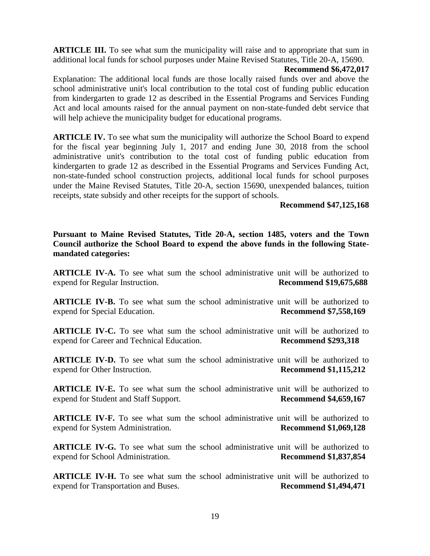**ARTICLE III.** To see what sum the municipality will raise and to appropriate that sum in additional local funds for school purposes under Maine Revised Statutes, Title 20-A, 15690.

#### **Recommend \$6,472,017**

Explanation: The additional local funds are those locally raised funds over and above the school administrative unit's local contribution to the total cost of funding public education from kindergarten to grade 12 as described in the Essential Programs and Services Funding Act and local amounts raised for the annual payment on non-state-funded debt service that will help achieve the municipality budget for educational programs.

**ARTICLE IV.** To see what sum the municipality will authorize the School Board to expend for the fiscal year beginning July 1, 2017 and ending June 30, 2018 from the school administrative unit's contribution to the total cost of funding public education from kindergarten to grade 12 as described in the Essential Programs and Services Funding Act, non-state-funded school construction projects, additional local funds for school purposes under the Maine Revised Statutes, Title 20-A, section 15690, unexpended balances, tuition receipts, state subsidy and other receipts for the support of schools.

#### **Recommend \$47,125,168**

**Pursuant to Maine Revised Statutes, Title 20-A, section 1485, voters and the Town Council authorize the School Board to expend the above funds in the following Statemandated categories:**

**ARTICLE IV-A.** To see what sum the school administrative unit will be authorized to expend for Regular Instruction. **Recommend \$19,675,688**

**ARTICLE IV-B.** To see what sum the school administrative unit will be authorized to expend for Special Education. **Recommend \$7,558,169** 

**ARTICLE IV-C.** To see what sum the school administrative unit will be authorized to expend for Career and Technical Education. **Recommend \$293,318** 

**ARTICLE IV-D.** To see what sum the school administrative unit will be authorized to expend for Other Instruction. **Recommend \$1,115,212** 

**ARTICLE IV-E.** To see what sum the school administrative unit will be authorized to expend for Student and Staff Support. **Recommend \$4,659,167**

**ARTICLE IV-F.** To see what sum the school administrative unit will be authorized to expend for System Administration. **Recommend \$1,069,128**

**ARTICLE IV-G.** To see what sum the school administrative unit will be authorized to expend for School Administration. **Recommend \$1,837,854**

**ARTICLE IV-H.** To see what sum the school administrative unit will be authorized to expend for Transportation and Buses. **Recommend \$1,494,471**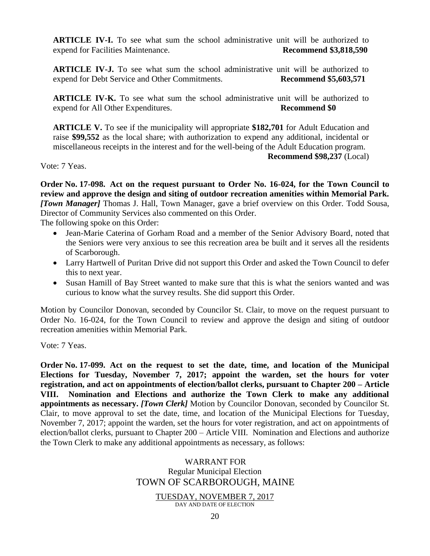**ARTICLE IV-I.** To see what sum the school administrative unit will be authorized to expend for Facilities Maintenance. **Recommend \$3,818,590**

**ARTICLE IV-J.** To see what sum the school administrative unit will be authorized to expend for Debt Service and Other Commitments. **Recommend \$5,603,571**

**ARTICLE IV-K.** To see what sum the school administrative unit will be authorized to expend for All Other Expenditures. **Recommend \$0**

**ARTICLE V.** To see if the municipality will appropriate **\$182,701** for Adult Education and raise **\$99,552** as the local share; with authorization to expend any additional, incidental or miscellaneous receipts in the interest and for the well-being of the Adult Education program.

**Recommend \$98,237** (Local)

Vote: 7 Yeas.

**Order No. 17-098. Act on the request pursuant to Order No. 16-024, for the Town Council to review and approve the design and siting of outdoor recreation amenities within Memorial Park.**  *[Town Manager]* Thomas J. Hall, Town Manager, gave a brief overview on this Order. Todd Sousa, Director of Community Services also commented on this Order.

The following spoke on this Order:

- Jean-Marie Caterina of Gorham Road and a member of the Senior Advisory Board, noted that the Seniors were very anxious to see this recreation area be built and it serves all the residents of Scarborough.
- Larry Hartwell of Puritan Drive did not support this Order and asked the Town Council to defer this to next year.
- Susan Hamill of Bay Street wanted to make sure that this is what the seniors wanted and was curious to know what the survey results. She did support this Order.

Motion by Councilor Donovan, seconded by Councilor St. Clair, to move on the request pursuant to Order No. 16-024, for the Town Council to review and approve the design and siting of outdoor recreation amenities within Memorial Park.

Vote: 7 Yeas.

**Order No. 17-099. Act on the request to set the date, time, and location of the Municipal Elections for Tuesday, November 7, 2017; appoint the warden, set the hours for voter registration, and act on appointments of election/ballot clerks, pursuant to Chapter 200 – Article VIII. Nomination and Elections and authorize the Town Clerk to make any additional appointments as necessary.** *[Town Clerk]* Motion by Councilor Donovan, seconded by Councilor St. Clair, to move approval to set the date, time, and location of the Municipal Elections for Tuesday, November 7, 2017; appoint the warden, set the hours for voter registration, and act on appointments of election/ballot clerks, pursuant to Chapter 200 – Article VIII. Nomination and Elections and authorize the Town Clerk to make any additional appointments as necessary, as follows:

### WARRANT FOR Regular Municipal Election TOWN OF SCARBOROUGH, MAINE

TUESDAY, NOVEMBER 7, 2017

DAY AND DATE OF ELECTION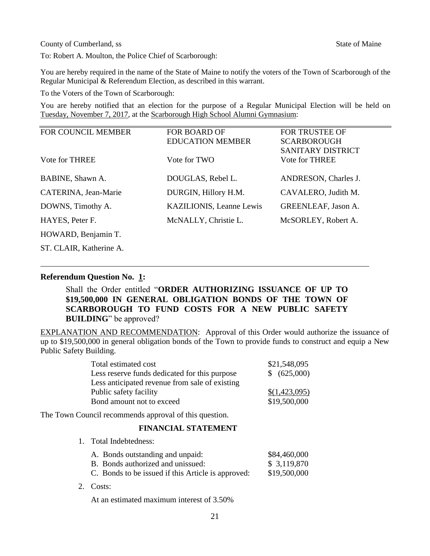**County of Cumberland, ss State of Maine State of Maine State of Maine State of Maine State of Maine State of Maine State of Maine State of Maine State of Maine State of Maine State of Maine State of Maine State of Maine S** 

To: Robert A. Moulton, the Police Chief of Scarborough:

You are hereby required in the name of the State of Maine to notify the voters of the Town of Scarborough of the Regular Municipal & Referendum Election, as described in this warrant.

To the Voters of the Town of Scarborough:

You are hereby notified that an election for the purpose of a Regular Municipal Election will be held on Tuesday, November 7, 2017, at the Scarborough High School Alumni Gymnasium: ī

| <b>FOR COUNCIL MEMBER</b> | <b>FOR BOARD OF</b>             | <b>FOR TRUSTEE OF</b>      |
|---------------------------|---------------------------------|----------------------------|
|                           | <b>EDUCATION MEMBER</b>         | <b>SCARBOROUGH</b>         |
|                           |                                 | SANITARY DISTRICT          |
| Vote for THREE            | Vote for TWO                    | Vote for THREE             |
|                           |                                 |                            |
| BABINE, Shawn A.          | DOUGLAS, Rebel L.               | ANDRESON, Charles J.       |
| CATERINA, Jean-Marie      | DURGIN, Hillory H.M.            | CAVALERO, Judith M.        |
| DOWNS, Timothy A.         | <b>KAZILIONIS, Leanne Lewis</b> | <b>GREENLEAF, Jason A.</b> |
| HAYES, Peter F.           | McNALLY, Christie L.            | McSORLEY, Robert A.        |
| HOWARD, Benjamin T.       |                                 |                            |
| ST. CLAIR. Katherine A.   |                                 |                            |

#### **Referendum Question No. 1:**

Shall the Order entitled "**ORDER AUTHORIZING ISSUANCE OF UP TO \$19,500,000 IN GENERAL OBLIGATION BONDS OF THE TOWN OF SCARBOROUGH TO FUND COSTS FOR A NEW PUBLIC SAFETY BUILDING**" be approved?

EXPLANATION AND RECOMMENDATION: Approval of this Order would authorize the issuance of up to \$19,500,000 in general obligation bonds of the Town to provide funds to construct and equip a New Public Safety Building.

| Total estimated cost                           | \$21,548,095  |
|------------------------------------------------|---------------|
| Less reserve funds dedicated for this purpose  | \$ (625,000)  |
| Less anticipated revenue from sale of existing |               |
| Public safety facility                         | \$(1,423,095) |
| Bond amount not to exceed                      | \$19,500,000  |

The Town Council recommends approval of this question.

1. Total Indebtedness:

#### **FINANCIAL STATEMENT**

- A. Bonds outstanding and unpaid: \$84,460,000 B. Bonds authorized and unissued:  $$3,119,870$ C. Bonds to be issued if this Article is approved: \$19,500,000
- 2. Costs:

At an estimated maximum interest of 3.50%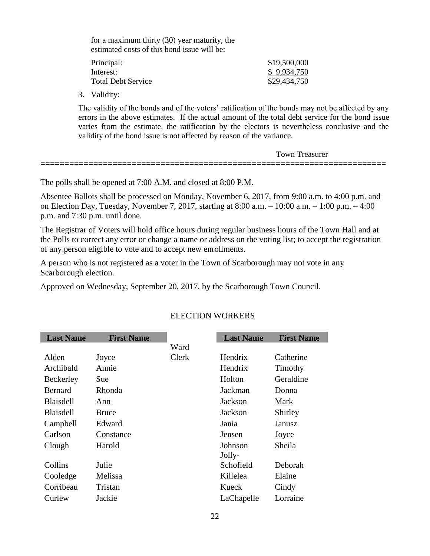for a maximum thirty (30) year maturity, the estimated costs of this bond issue will be:

| Principal:                | \$19,500,000 |
|---------------------------|--------------|
| Interest:                 | \$9,934,750  |
| <b>Total Debt Service</b> | \$29,434,750 |

3. Validity:

The validity of the bonds and of the voters' ratification of the bonds may not be affected by any errors in the above estimates. If the actual amount of the total debt service for the bond issue varies from the estimate, the ratification by the electors is nevertheless conclusive and the validity of the bond issue is not affected by reason of the variance.

| Town<br>reasurer                                                                                                          |  |
|---------------------------------------------------------------------------------------------------------------------------|--|
| ___<br>_____________<br>__________<br>_____<br>__________________________<br>___________<br>_____<br>______<br>___<br>___ |  |

The polls shall be opened at 7:00 A.M. and closed at 8:00 P.M.

Absentee Ballots shall be processed on Monday, November 6, 2017, from 9:00 a.m. to 4:00 p.m. and on Election Day, Tuesday, November 7, 2017, starting at 8:00 a.m. – 10:00 a.m. – 1:00 p.m. – 4:00 p.m. and 7:30 p.m. until done.

The Registrar of Voters will hold office hours during regular business hours of the Town Hall and at the Polls to correct any error or change a name or address on the voting list; to accept the registration of any person eligible to vote and to accept new enrollments.

A person who is not registered as a voter in the Town of Scarborough may not vote in any Scarborough election.

Approved on Wednesday, September 20, 2017, by the Scarborough Town Council.

| <b>Last Name</b> | <b>First Name</b> |              | <b>Last Name</b> | <b>First Name</b> |
|------------------|-------------------|--------------|------------------|-------------------|
|                  |                   | Ward         |                  |                   |
| Alden            | Joyce             | <b>Clerk</b> | Hendrix          | Catherine         |
| Archibald        | Annie             |              | Hendrix          | Timothy           |
| Beckerley        | Sue               |              | Holton           | Geraldine         |
| Bernard          | Rhonda            |              | Jackman          | Donna             |
| <b>Blaisdell</b> | Ann               |              | Jackson          | Mark              |
| <b>Blaisdell</b> | <b>Bruce</b>      |              | Jackson          | Shirley           |
| Campbell         | Edward            |              | Jania            | Janusz            |
| Carlson          | Constance         |              | Jensen           | Joyce             |
| Clough           | Harold            |              | Johnson          | Sheila            |
|                  |                   |              | Jolly-           |                   |
| Collins          | Julie             |              | Schofield        | Deborah           |
| Cooledge         | Melissa           |              | Killelea         | Elaine            |
| Corribeau        | Tristan           |              | Kueck            | Cindy             |
| Curlew           | Jackie            |              | LaChapelle       | Lorraine          |

### ELECTION WORKERS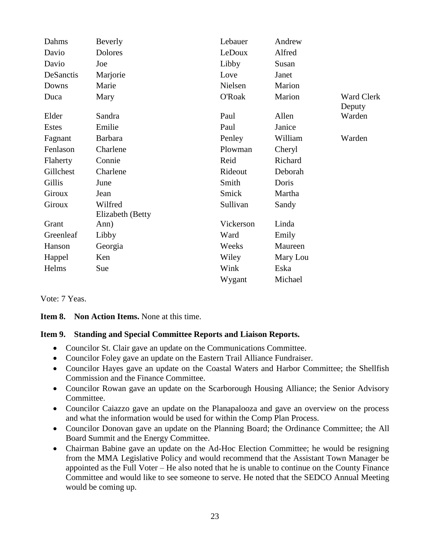| Dahms         | Beverly          | Lebauer   | Andrew   |                             |
|---------------|------------------|-----------|----------|-----------------------------|
| Davio         | Dolores          | LeDoux    | Alfred   |                             |
| Davio         | Joe              | Libby     | Susan    |                             |
| DeSanctis     | Marjorie         | Love      | Janet    |                             |
| Downs         | Marie            | Nielsen   | Marion   |                             |
| Duca          | Mary             | O'Roak    | Marion   | <b>Ward Clerk</b><br>Deputy |
| Elder         | Sandra           | Paul      | Allen    | Warden                      |
| Estes         | Emilie           | Paul      | Janice   |                             |
| Fagnant       | <b>Barbara</b>   | Penley    | William  | Warden                      |
| Fenlason      | Charlene         | Plowman   | Cheryl   |                             |
| Flaherty      | Connie           | Reid      | Richard  |                             |
| Gillchest     | Charlene         | Rideout   | Deborah  |                             |
| Gillis        | June             | Smith     | Doris    |                             |
| <b>Giroux</b> | Jean             | Smick     | Martha   |                             |
| Giroux        | Wilfred          | Sullivan  | Sandy    |                             |
| Grant         | Elizabeth (Betty | Vickerson | Linda    |                             |
|               | Ann)             |           |          |                             |
| Greenleaf     | Libby            | Ward      | Emily    |                             |
| Hanson        | Georgia          | Weeks     | Maureen  |                             |
| Happel        | Ken              | Wiley     | Mary Lou |                             |
| Helms         | Sue              | Wink      | Eska     |                             |
|               |                  | Wygant    | Michael  |                             |

Vote: 7 Yeas.

**Item 8. Non Action Items.** None at this time.

#### **Item 9. Standing and Special Committee Reports and Liaison Reports.**

- Councilor St. Clair gave an update on the Communications Committee.
- Councilor Foley gave an update on the Eastern Trail Alliance Fundraiser.
- Councilor Hayes gave an update on the Coastal Waters and Harbor Committee; the Shellfish Commission and the Finance Committee.
- Councilor Rowan gave an update on the Scarborough Housing Alliance; the Senior Advisory Committee.
- Councilor Caiazzo gave an update on the Planapalooza and gave an overview on the process and what the information would be used for within the Comp Plan Process.
- Councilor Donovan gave an update on the Planning Board; the Ordinance Committee; the All Board Summit and the Energy Committee.
- Chairman Babine gave an update on the Ad-Hoc Election Committee; he would be resigning from the MMA Legislative Policy and would recommend that the Assistant Town Manager be appointed as the Full Voter – He also noted that he is unable to continue on the County Finance Committee and would like to see someone to serve. He noted that the SEDCO Annual Meeting would be coming up.